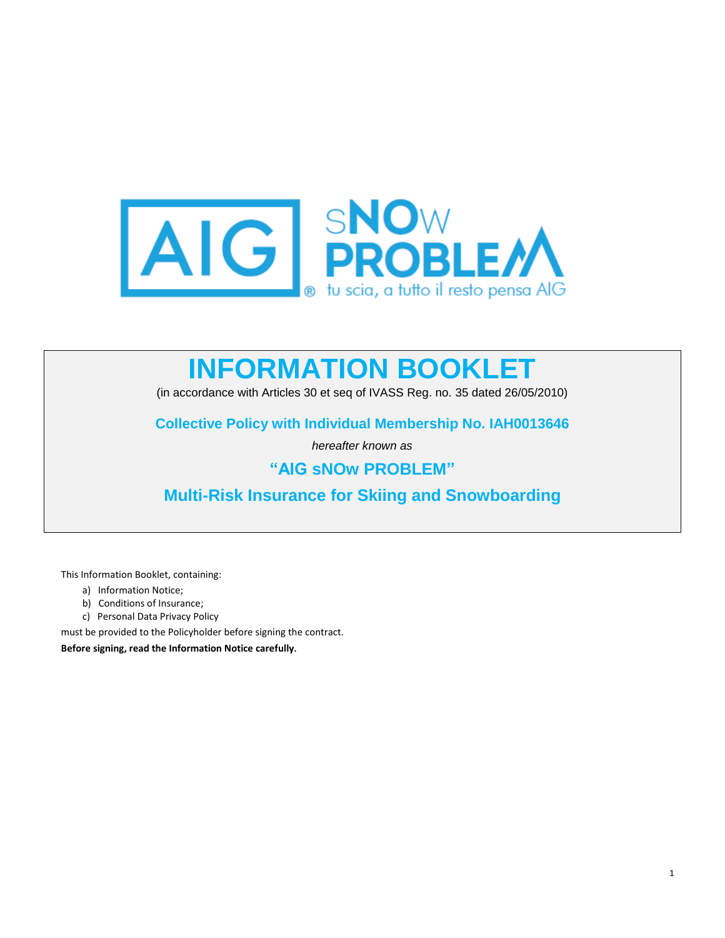

# **INFORMATION BOOKLET**

(in accordance with Articles 30 et seq of IVASS Reg. no. 35 dated 26/05/2010)

**Collective Policy with Individual Membership No. IAH0013646**

*hereafter known as*

# **"AIG sNOw PROBLEM"**

**Multi-Risk Insurance for Skiing and Snowboarding**

This Information Booklet, containing:

- a) Information Notice;
- b) Conditions of Insurance;
- c) Personal Data Privacy Policy

must be provided to the Policyholder before signing the contract.

**Before signing, read the Information Notice carefully.**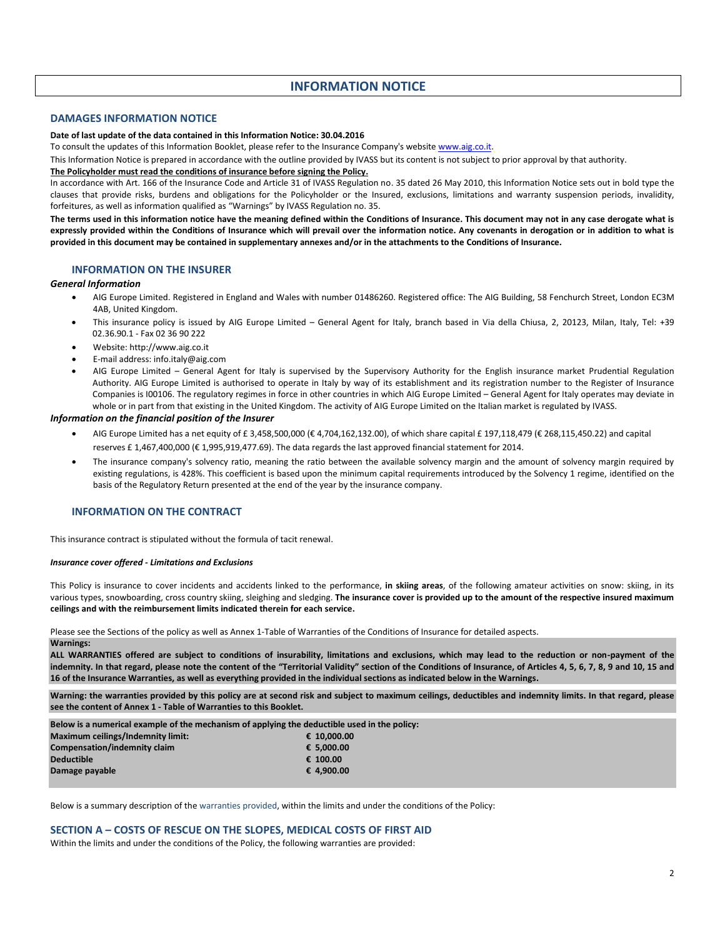# **INFORMATION NOTICE**

### **DAMAGES INFORMATION NOTICE**

#### **Date of last update of the data contained in this Information Notice: 30.04.2016**

To consult the updates of this Information Booklet, please refer to the Insurance Company's website [www.aig.co.it.](http://www.aig.co.it/)

This Information Notice is prepared in accordance with the outline provided by IVASS but its content is not subject to prior approval by that authority.

#### **The Policyholder must read the conditions of insurance before signing the Policy.**

In accordance with Art. 166 of the Insurance Code and Article 31 of IVASS Regulation no. 35 dated 26 May 2010, this Information Notice sets out in bold type the clauses that provide risks, burdens and obligations for the Policyholder or the Insured, exclusions, limitations and warranty suspension periods, invalidity, forfeitures, as well as information qualified as "Warnings" by IVASS Regulation no. 35.

**The terms used in this information notice have the meaning defined within the Conditions of Insurance. This document may not in any case derogate what is expressly provided within the Conditions of Insurance which will prevail over the information notice. Any covenants in derogation or in addition to what is provided in this document may be contained in supplementary annexes and/or in the attachments to the Conditions of Insurance.**

### **INFORMATION ON THE INSURER**

#### *General Information*

- AIG Europe Limited. Registered in England and Wales with number 01486260. Registered office: The AIG Building, 58 Fenchurch Street, London EC3M 4AB, United Kingdom.
- This insurance policy is issued by AIG Europe Limited General Agent for Italy, branch based in Via della Chiusa, 2, 20123, Milan, Italy, Tel: +39 02.36.90.1 - Fax 02 36 90 222
- Website[: http://www.aig.co.it](http://www.aig.co.it/)
- E-mail address[: info.italy@aig.com](mailto:info.italy@aig.com)
- AIG Europe Limited General Agent for Italy is supervised by the Supervisory Authority for the English insurance market Prudential Regulation Authority. AIG Europe Limited is authorised to operate in Italy by way of its establishment and its registration number to the Register of Insurance Companies is I00106. The regulatory regimes in force in other countries in which AIG Europe Limited – General Agent for Italy operates may deviate in whole or in part from that existing in the United Kingdom. The activity of AIG Europe Limited on the Italian market is regulated by IVASS.

#### *Information on the financial position of the Insurer*

- AIG Europe Limited has a net equity of £ 3,458,500,000 (€ 4,704,162,132.00), of which share capital £ 197,118,479 (€ 268,115,450.22) and capital reserves £ 1,467,400,000 (€ 1,995,919,477.69). The data regards the last approved financial statement for 2014.
- The insurance company's solvency ratio, meaning the ratio between the available solvency margin and the amount of solvency margin required by existing regulations, is 428%. This coefficient is based upon the minimum capital requirements introduced by the Solvency 1 regime, identified on the basis of the Regulatory Return presented at the end of the year by the insurance company.

#### **INFORMATION ON THE CONTRACT**

This insurance contract is stipulated without the formula of tacit renewal.

#### *Insurance cover offered - Limitations and Exclusions*

This Policy is insurance to cover incidents and accidents linked to the performance, **in skiing areas**, of the following amateur activities on snow: skiing, in its various types, snowboarding, cross country skiing, sleighing and sledging. **The insurance cover is provided up to the amount of the respective insured maximum ceilings and with the reimbursement limits indicated therein for each service.**

Please see the Sections of the policy as well as Annex 1-Table of Warranties of the Conditions of Insurance for detailed aspects.

#### **Warnings:**

**ALL WARRANTIES offered are subject to conditions of insurability, limitations and exclusions, which may lead to the reduction or non-payment of the**  indemnity. In that regard, please note the content of the "Territorial Validity" section of the Conditions of Insurance, of Articles 4, 5, 6, 7, 8, 9 and 10, 15 and **16 of the Insurance Warranties, as well as everything provided in the individual sections as indicated below in the Warnings.**

**Warning: the warranties provided by this policy are at second risk and subject to maximum ceilings, deductibles and indemnity limits. In that regard, please see the content of Annex 1 - Table of Warranties to this Booklet.**

**Below is a numerical example of the mechanism of applying the deductible used in the policy:**

| Maximum ceilings/Indemnity limit: | € 10.000.00 |
|-----------------------------------|-------------|
| Compensation/indemnity claim      | € 5.000.00  |
| <b>Deductible</b>                 | € 100.00    |
| Damage payable                    | € 4.900.00  |

Below is a summary description of the warranties provided, within the limits and under the conditions of the Policy:

#### **SECTION A – COSTS OF RESCUE ON THE SLOPES, MEDICAL COSTS OF FIRST AID**

Within the limits and under the conditions of the Policy, the following warranties are provided: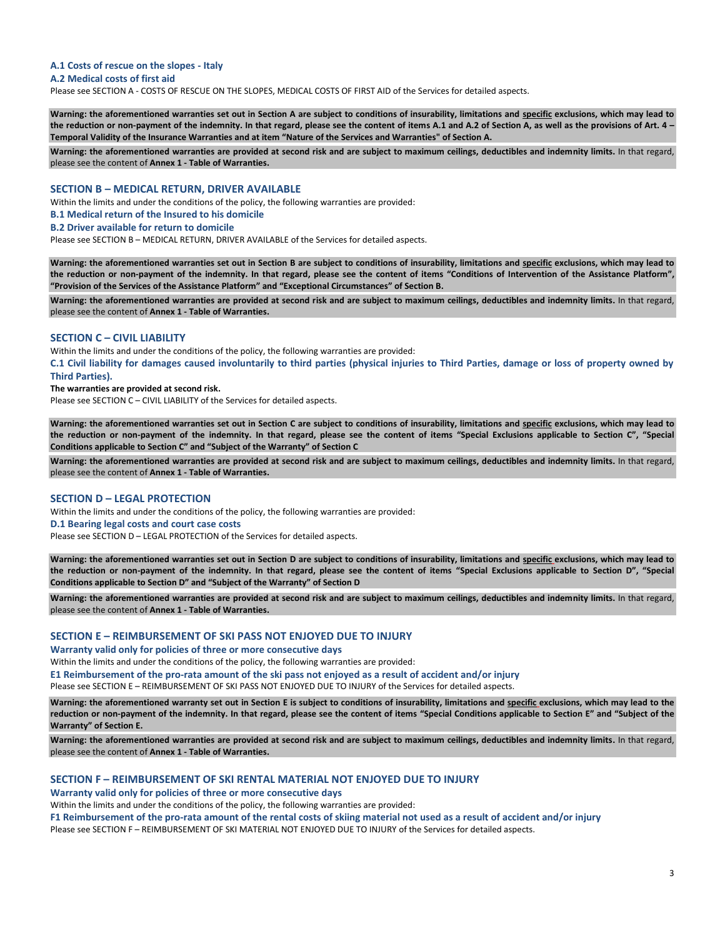# **A.1 Costs of rescue on the slopes - Italy**

#### **A.2 Medical costs of first aid**

Please see SECTION A - COSTS OF RESCUE ON THE SLOPES, MEDICAL COSTS OF FIRST AID of the Services for detailed aspects.

**Warning: the aforementioned warranties set out in Section A are subject to conditions of insurability, limitations and specific exclusions, which may lead to the reduction or non-payment of the indemnity. In that regard, please see the content of items A.1 and A.2 of Section A, as well as the provisions of Art. 4 – Temporal Validity of the Insurance Warranties and at item "Nature of the Services and Warranties" of Section A.**

**Warning: the aforementioned warranties are provided at second risk and are subject to maximum ceilings, deductibles and indemnity limits.** In that regard, please see the content of **Annex 1 - Table of Warranties.**

#### **SECTION B – MEDICAL RETURN, DRIVER AVAILABLE**

Within the limits and under the conditions of the policy, the following warranties are provided:

**B.1 Medical return of the Insured to his domicile**

#### **B.2 Driver available for return to domicile**

Please see SECTION B – MEDICAL RETURN, DRIVER AVAILABLE of the Services for detailed aspects.

**Warning: the aforementioned warranties set out in Section B are subject to conditions of insurability, limitations and specific exclusions, which may lead to the reduction or non-payment of the indemnity. In that regard, please see the content of items "Conditions of Intervention of the Assistance Platform", "Provision of the Services of the Assistance Platform" and "Exceptional Circumstances" of Section B.**

Warning: the aforementioned warranties are provided at second risk and are subject to maximum ceilings, deductibles and indemnity limits. In that regard, please see the content of **Annex 1 - Table of Warranties.**

#### **SECTION C – CIVIL LIABILITY**

Within the limits and under the conditions of the policy, the following warranties are provided:

**C.1 Civil liability for damages caused involuntarily to third parties (physical injuries to Third Parties, damage or loss of property owned by Third Parties).**

#### **The warranties are provided at second risk.**

Please see SECTION C – CIVIL LIABILITY of the Services for detailed aspects.

**Warning: the aforementioned warranties set out in Section C are subject to conditions of insurability, limitations and specific exclusions, which may lead to the reduction or non-payment of the indemnity. In that regard, please see the content of items "Special Exclusions applicable to Section C", "Special Conditions applicable to Section C" and "Subject of the Warranty" of Section C** 

Warning: the aforementioned warranties are provided at second risk and are subject to maximum ceilings, deductibles and indemnity limits. In that regard, please see the content of **Annex 1 - Table of Warranties.**

#### **SECTION D – LEGAL PROTECTION**

Within the limits and under the conditions of the policy, the following warranties are provided:

#### **D.1 Bearing legal costs and court case costs**

Please see SECTION D – LEGAL PROTECTION of the Services for detailed aspects.

**Warning: the aforementioned warranties set out in Section D are subject to conditions of insurability, limitations and specific exclusions, which may lead to the reduction or non-payment of the indemnity. In that regard, please see the content of items "Special Exclusions applicable to Section D", "Special Conditions applicable to Section D" and "Subject of the Warranty" of Section D** 

Warning: the aforementioned warranties are provided at second risk and are subject to maximum ceilings, deductibles and indemnity limits. In that regard, please see the content of **Annex 1 - Table of Warranties.**

#### **SECTION E – REIMBURSEMENT OF SKI PASS NOT ENJOYED DUE TO INJURY**

**Warranty valid only for policies of three or more consecutive days** 

Within the limits and under the conditions of the policy, the following warranties are provided:

**E1 Reimbursement of the pro-rata amount of the ski pass not enjoyed as a result of accident and/or injury**

Please see SECTION E – REIMBURSEMENT OF SKI PASS NOT ENJOYED DUE TO INJURY of the Services for detailed aspects.

**Warning: the aforementioned warranty set out in Section E is subject to conditions of insurability, limitations and specific exclusions, which may lead to the reduction or non-payment of the indemnity. In that regard, please see the content of items "Special Conditions applicable to Section E" and "Subject of the Warranty" of Section E.**

Warning: the aforementioned warranties are provided at second risk and are subject to maximum ceilings, deductibles and indemnity limits. In that regard, please see the content of **Annex 1 - Table of Warranties.**

#### **SECTION F – REIMBURSEMENT OF SKI RENTAL MATERIAL NOT ENJOYED DUE TO INJURY**

**Warranty valid only for policies of three or more consecutive days**

Within the limits and under the conditions of the policy, the following warranties are provided:

**F1 Reimbursement of the pro-rata amount of the rental costs of skiing material not used as a result of accident and/or injury**

Please see SECTION F – REIMBURSEMENT OF SKI MATERIAL NOT ENJOYED DUE TO INJURY of the Services for detailed aspects.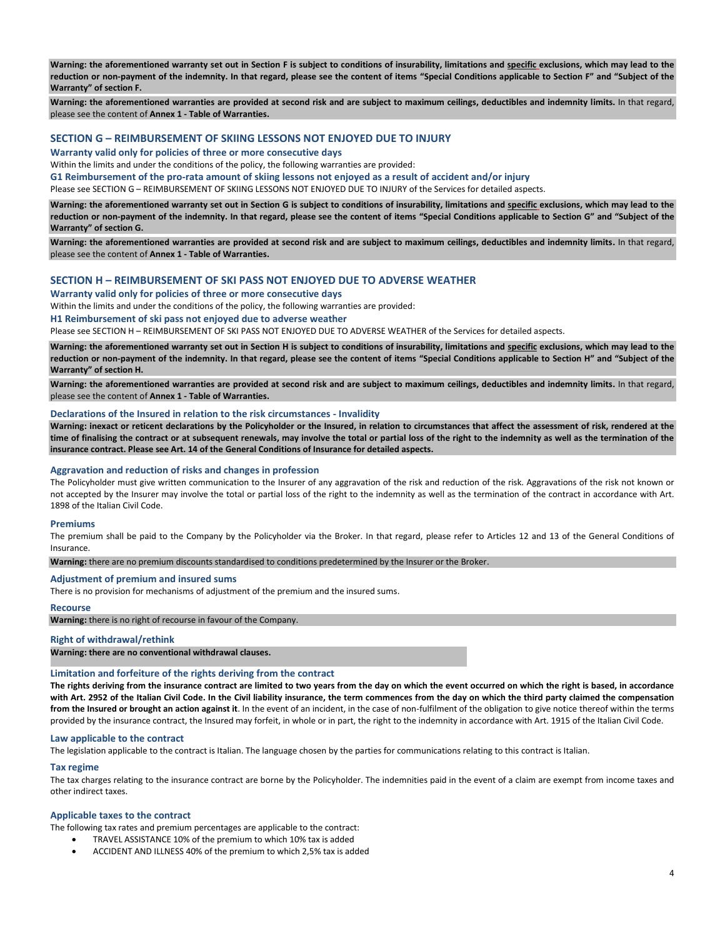**Warning: the aforementioned warranty set out in Section F is subject to conditions of insurability, limitations and specific exclusions, which may lead to the reduction or non-payment of the indemnity. In that regard, please see the content of items "Special Conditions applicable to Section F" and "Subject of the Warranty" of section F.**

Warning: the aforementioned warranties are provided at second risk and are subject to maximum ceilings, deductibles and indemnity limits. In that regard, please see the content of **Annex 1 - Table of Warranties.**

# **SECTION G – REIMBURSEMENT OF SKIING LESSONS NOT ENJOYED DUE TO INJURY**

**Warranty valid only for policies of three or more consecutive days**

Within the limits and under the conditions of the policy, the following warranties are provided:

**G1 Reimbursement of the pro-rata amount of skiing lessons not enjoyed as a result of accident and/or injury**

Please see SECTION G – REIMBURSEMENT OF SKIING LESSONS NOT ENJOYED DUE TO INJURY of the Services for detailed aspects.

**Warning: the aforementioned warranty set out in Section G is subject to conditions of insurability, limitations and specific exclusions, which may lead to the reduction or non-payment of the indemnity. In that regard, please see the content of items "Special Conditions applicable to Section G" and "Subject of the Warranty" of section G.**

**Warning: the aforementioned warranties are provided at second risk and are subject to maximum ceilings, deductibles and indemnity limits.** In that regard, please see the content of **Annex 1 - Table of Warranties.**

#### **SECTION H – REIMBURSEMENT OF SKI PASS NOT ENJOYED DUE TO ADVERSE WEATHER**

#### **Warranty valid only for policies of three or more consecutive days**

Within the limits and under the conditions of the policy, the following warranties are provided:

#### **H1 Reimbursement of ski pass not enjoyed due to adverse weather**

Please see SECTION H - REIMBURSEMENT OF SKI PASS NOT ENJOYED DUE TO ADVERSE WEATHER of the Services for detailed aspects.

**Warning: the aforementioned warranty set out in Section H is subject to conditions of insurability, limitations and specific exclusions, which may lead to the reduction or non-payment of the indemnity. In that regard, please see the content of items "Special Conditions applicable to Section H" and "Subject of the Warranty" of section H.**

Warning: the aforementioned warranties are provided at second risk and are subject to maximum ceilings, deductibles and indemnity limits. In that regard, please see the content of **Annex 1 - Table of Warranties.**

#### **Declarations of the Insured in relation to the risk circumstances - Invalidity**

**Warning: inexact or reticent declarations by the Policyholder or the Insured, in relation to circumstances that affect the assessment of risk, rendered at the time of finalising the contract or at subsequent renewals, may involve the total or partial loss of the right to the indemnity as well as the termination of the insurance contract. Please see Art. 14 of the General Conditions of Insurance for detailed aspects.**

#### **Aggravation and reduction of risks and changes in profession**

The Policyholder must give written communication to the Insurer of any aggravation of the risk ad reduction of the risk. Aggravations of the risk not known or not accepted by the Insurer may involve the total or partial loss of the right to the indemnity as well as the termination of the contract in accordance with Art. 1898 of the Italian Civil Code.

#### **Premiums**

The premium shall be paid to the Company by the Policyholder via the Broker. In that regard, please refer to Articles 12 and 13 of the General Conditions of Insurance.

**Warning:** there are no premium discounts standardised to conditions predetermined by the Insurer or the Broker.

#### **Adjustment of premium and insured sums**

There is no provision for mechanisms of adjustment of the premium and the insured sums.

#### **Recourse**

**Warning:** there is no right of recourse in favour of the Company.

#### **Right of withdrawal/rethink**

**Warning: there are no conventional withdrawal clauses.**

#### **Limitation and forfeiture of the rights deriving from the contract**

**The rights deriving from the insurance contract are limited to two years from the day on which the event occurred on which the right is based, in accordance with Art. 2952 of the Italian Civil Code. In the Civil liability insurance, the term commences from the day on which the third party claimed the compensation from the Insured or brought an action against it**. In the event of an incident, in the case of non-fulfilment of the obligation to give notice thereof within the terms provided by the insurance contract, the Insured may forfeit, in whole or in part, the right to the indemnity in accordance with Art. 1915 of the Italian Civil Code.

#### **Law applicable to the contract**

The legislation applicable to the contract is Italian. The language chosen by the parties for communications relating to this contract is Italian.

#### **Tax regime**

The tax charges relating to the insurance contract are borne by the Policyholder. The indemnities paid in the event of a claim are exempt from income taxes and other indirect taxes.

#### **Applicable taxes to the contract**

The following tax rates and premium percentages are applicable to the contract:

- TRAVEL ASSISTANCE 10% of the premium to which 10% tax is added
- ACCIDENT AND ILLNESS 40% of the premium to which 2,5% tax is added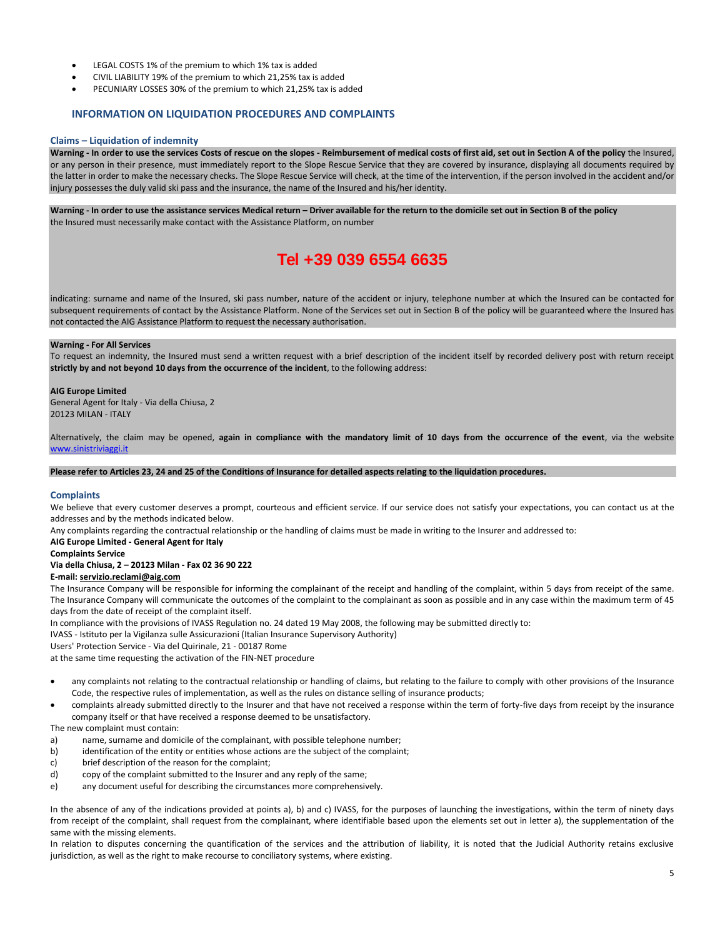- LEGAL COSTS 1% of the premium to which 1% tax is added
- CIVIL LIABILITY 19% of the premium to which 21,25% tax is added
- PECUNIARY LOSSES 30% of the premium to which 21,25% tax is added

### **INFORMATION ON LIQUIDATION PROCEDURES AND COMPLAINTS**

#### **Claims – Liquidation of indemnity**

**Warning - In order to use the services Costs of rescue on the slopes - Reimbursement of medical costs of first aid, set out in Section A of the policy** the Insured, or any person in their presence, must immediately report to the Slope Rescue Service that they are covered by insurance, displaying all documents required by the latter in order to make the necessary checks. The Slope Rescue Service will check, at the time of the intervention, if the person involved in the accident and/or injury possesses the duly valid ski pass and the insurance, the name of the Insured and his/her identity.

**Warning - In order to use the assistance services Medical return – Driver available for the return to the domicile set out in Section B of the policy** the Insured must necessarily make contact with the Assistance Platform, on number

# **Tel +39 039 6554 6635**

indicating: surname and name of the Insured, ski pass number, nature of the accident or injury, telephone number at which the Insured can be contacted for subsequent requirements of contact by the Assistance Platform. None of the Services set out in Section B of the policy will be guaranteed where the Insured has not contacted the AIG Assistance Platform to request the necessary authorisation.

#### **Warning - For All Services**

To request an indemnity, the Insured must send a written request with a brief description of the incident itself by recorded delivery post with return receipt **strictly by and not beyond 10 days from the occurrence of the incident**, to the following address:

#### **AIG Europe Limited**

General Agent for Italy - Via della Chiusa, 2 20123 MILAN - ITALY

Alternatively, the claim may be opened, **again in compliance with the mandatory limit of 10 days from the occurrence of the event**, via the website [www.sinistriviaggi.it](http://www.sinistriviaggi.it/)

**Please refer to Articles 23, 24 and 25 of the Conditions of Insurance for detailed aspects relating to the liquidation procedures.**

#### **Complaints**

We believe that every customer deserves a prompt, courteous and efficient service. If our service does not satisfy your expectations, you can contact us at the addresses and by the methods indicated below.

Any complaints regarding the contractual relationship or the handling of claims must be made in writing to the Insurer and addressed to:

**AIG Europe Limited - General Agent for Italy**

#### **Complaints Service**

# **Via della Chiusa, 2 – 20123 Milan - Fax 02 36 90 222**

**E-mail: servizio.reclami@aig.com**

The Insurance Company will be responsible for informing the complainant of the receipt and handling of the complaint, within 5 days from receipt of the same. The Insurance Company will communicate the outcomes of the complaint to the complainant as soon as possible and in any case within the maximum term of 45 days from the date of receipt of the complaint itself.

In compliance with the provisions of IVASS Regulation no. 24 dated 19 May 2008, the following may be submitted directly to:

IVASS - Istituto per la Vigilanza sulle Assicurazioni (Italian Insurance Supervisory Authority)

Users' Protection Service - Via del Quirinale, 21 - 00187 Rome

at the same time requesting the activation of the FIN-NET procedure

- any complaints not relating to the contractual relationship or handling of claims, but relating to the failure to comply with other provisions of the Insurance Code, the respective rules of implementation, as well as the rules on distance selling of insurance products;
- complaints already submitted directly to the Insurer and that have not received a response within the term of forty-five days from receipt by the insurance company itself or that have received a response deemed to be unsatisfactory.

The new complaint must contain:

- a) name, surname and domicile of the complainant, with possible telephone number;
- b) identification of the entity or entities whose actions are the subject of the complaint;
- c) brief description of the reason for the complaint;
- d) copy of the complaint submitted to the Insurer and any reply of the same;
- e) any document useful for describing the circumstances more comprehensively.

In the absence of any of the indications provided at points a), b) and c) IVASS, for the purposes of launching the investigations, within the term of ninety days from receipt of the complaint, shall request from the complainant, where identifiable based upon the elements set out in letter a), the supplementation of the same with the missing elements.

In relation to disputes concerning the quantification of the services and the attribution of liability, it is noted that the Judicial Authority retains exclusive jurisdiction, as well as the right to make recourse to conciliatory systems, where existing.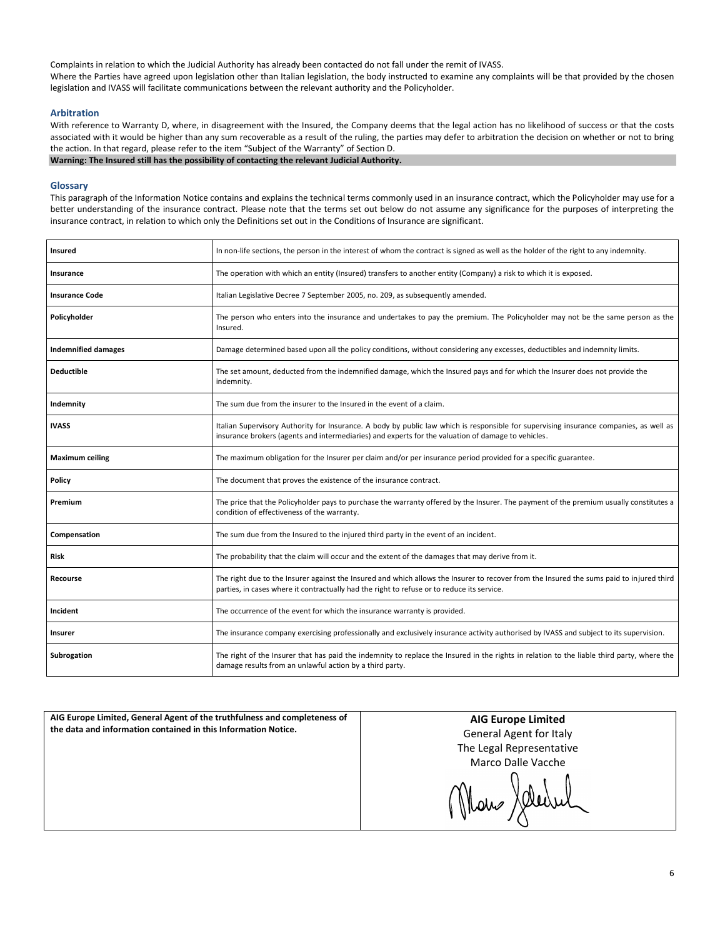Complaints in relation to which the Judicial Authority has already been contacted do not fall under the remit of IVASS. Where the Parties have agreed upon legislation other than Italian legislation, the body instructed to examine any complaints will be that provided by the chosen legislation and IVASS will facilitate communications between the relevant authority and the Policyholder.

#### **Arbitration**

With reference to Warranty D, where, in disagreement with the Insured, the Company deems that the legal action has no likelihood of success or that the costs associated with it would be higher than any sum recoverable as a result of the ruling, the parties may defer to arbitration the decision on whether or not to bring the action. In that regard, please refer to the item "Subject of the Warranty" of Section D. **Warning: The Insured still has the possibility of contacting the relevant Judicial Authority.**

#### **Glossary**

This paragraph of the Information Notice contains and explains the technical terms commonly used in an insurance contract, which the Policyholder may use for a better understanding of the insurance contract. Please note that the terms set out below do not assume any significance for the purposes of interpreting the insurance contract, in relation to which only the Definitions set out in the Conditions of Insurance are significant.

| <b>Insured</b>             | In non-life sections, the person in the interest of whom the contract is signed as well as the holder of the right to any indemnity.                                                                                                         |  |
|----------------------------|----------------------------------------------------------------------------------------------------------------------------------------------------------------------------------------------------------------------------------------------|--|
| Insurance                  | The operation with which an entity (Insured) transfers to another entity (Company) a risk to which it is exposed.                                                                                                                            |  |
| <b>Insurance Code</b>      | Italian Legislative Decree 7 September 2005, no. 209, as subsequently amended.                                                                                                                                                               |  |
| Policyholder               | The person who enters into the insurance and undertakes to pay the premium. The Policyholder may not be the same person as the<br>Insured.                                                                                                   |  |
| <b>Indemnified damages</b> | Damage determined based upon all the policy conditions, without considering any excesses, deductibles and indemnity limits.                                                                                                                  |  |
| <b>Deductible</b>          | The set amount, deducted from the indemnified damage, which the Insured pays and for which the Insurer does not provide the<br>indemnity.                                                                                                    |  |
| Indemnity                  | The sum due from the insurer to the Insured in the event of a claim.                                                                                                                                                                         |  |
| <b>IVASS</b>               | Italian Supervisory Authority for Insurance. A body by public law which is responsible for supervising insurance companies, as well as<br>insurance brokers (agents and intermediaries) and experts for the valuation of damage to vehicles. |  |
| <b>Maximum ceiling</b>     | The maximum obligation for the Insurer per claim and/or per insurance period provided for a specific guarantee.                                                                                                                              |  |
| Policy                     | The document that proves the existence of the insurance contract.                                                                                                                                                                            |  |
| Premium                    | The price that the Policyholder pays to purchase the warranty offered by the Insurer. The payment of the premium usually constitutes a<br>condition of effectiveness of the warranty.                                                        |  |
| Compensation               | The sum due from the Insured to the injured third party in the event of an incident.                                                                                                                                                         |  |
| <b>Risk</b>                | The probability that the claim will occur and the extent of the damages that may derive from it.                                                                                                                                             |  |
| <b>Recourse</b>            | The right due to the Insurer against the Insured and which allows the Insurer to recover from the Insured the sums paid to injured third<br>parties, in cases where it contractually had the right to refuse or to reduce its service.       |  |
| Incident                   | The occurrence of the event for which the insurance warranty is provided.                                                                                                                                                                    |  |
| Insurer                    | The insurance company exercising professionally and exclusively insurance activity authorised by IVASS and subject to its supervision.                                                                                                       |  |
| <b>Subrogation</b>         | The right of the Insurer that has paid the indemnity to replace the Insured in the rights in relation to the liable third party, where the<br>damage results from an unlawful action by a third party.                                       |  |

**AIG Europe Limited, General Agent of the truthfulness and completeness of the data and information contained in this Information Notice.**

**AIG Europe Limited** General Agent for Italy The Legal Representative Marco Dalle Vacche

Mans Jelevil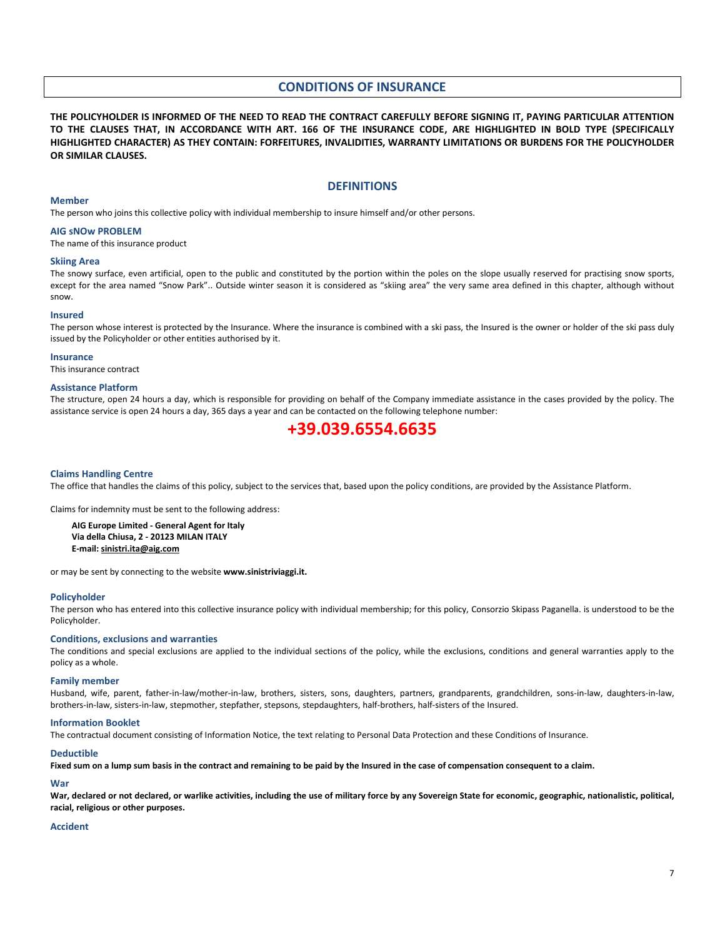# **CONDITIONS OF INSURANCE**

**THE POLICYHOLDER IS INFORMED OF THE NEED TO READ THE CONTRACT CAREFULLY BEFORE SIGNING IT, PAYING PARTICULAR ATTENTION TO THE CLAUSES THAT, IN ACCORDANCE WITH ART. 166 OF THE INSURANCE CODE, ARE HIGHLIGHTED IN BOLD TYPE (SPECIFICALLY HIGHLIGHTED CHARACTER) AS THEY CONTAIN: FORFEITURES, INVALIDITIES, WARRANTY LIMITATIONS OR BURDENS FOR THE POLICYHOLDER OR SIMILAR CLAUSES.**

#### **DEFINITIONS**

#### **Member**

The person who joins this collective policy with individual membership to insure himself and/or other persons.

#### **AIG sNOw PROBLEM**

The name of this insurance product

#### **Skiing Area**

The snowy surface, even artificial, open to the public and constituted by the portion within the poles on the slope usually reserved for practising snow sports, except for the area named "Snow Park".. Outside winter season it is considered as "skiing area" the very same area defined in this chapter, although without snow.

#### **Insured**

The person whose interest is protected by the Insurance. Where the insurance is combined with a ski pass, the Insured is the owner or holder of the ski pass duly issued by the Policyholder or other entities authorised by it.

#### **Insurance**

This insurance contract

#### **Assistance Platform**

The structure, open 24 hours a day, which is responsible for providing on behalf of the Company immediate assistance in the cases provided by the policy. The assistance service is open 24 hours a day, 365 days a year and can be contacted on the following telephone number:

# **+39.039.6554.6635**

#### **Claims Handling Centre**

The office that handles the claims of this policy, subject to the services that, based upon the policy conditions, are provided by the Assistance Platform.

Claims for indemnity must be sent to the following address:

**AIG Europe Limited - General Agent for Italy Via della Chiusa, 2 - 20123 MILAN ITALY E-mail: sinistri.ita@aig.com**

or may be sent by connecting to the website **www.sinistriviaggi.it.**

#### **Policyholder**

The person who has entered into this collective insurance policy with individual membership; for this policy, Consorzio Skipass Paganella. is understood to be the Policyholder.

#### **Conditions, exclusions and warranties**

The conditions and special exclusions are applied to the individual sections of the policy, while the exclusions, conditions and general warranties apply to the policy as a whole.

#### **Family member**

Husband, wife, parent, father-in-law/mother-in-law, brothers, sisters, sons, daughters, partners, grandparents, grandchildren, sons-in-law, daughters-in-law, brothers-in-law, sisters-in-law, stepmother, stepfather, stepsons, stepdaughters, half-brothers, half-sisters of the Insured.

#### **Information Booklet**

The contractual document consisting of Information Notice, the text relating to Personal Data Protection and these Conditions of Insurance.

#### **Deductible**

**Fixed sum on a lump sum basis in the contract and remaining to be paid by the Insured in the case of compensation consequent to a claim.**

#### **War**

War, declared or not declared, or warlike activities, including the use of military force by any Sovereign State for economic, geographic, nationalistic, political, **racial, religious or other purposes.**

#### **Accident**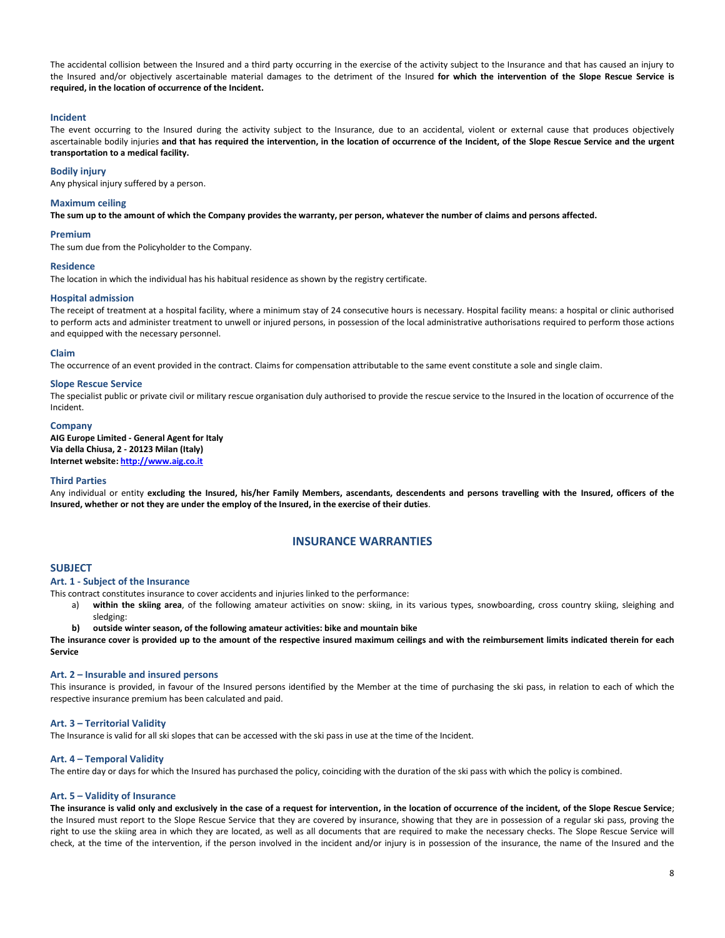The accidental collision between the Insured and a third party occurring in the exercise of the activity subject to the Insurance and that has caused an injury to the Insured and/or objectively ascertainable material damages to the detriment of the Insured **for which the intervention of the Slope Rescue Service is required, in the location of occurrence of the Incident.**

#### **Incident**

The event occurring to the Insured during the activity subject to the Insurance, due to an accidental, violent or external cause that produces objectively ascertainable bodily injuries **and that has required the intervention, in the location of occurrence of the Incident, of the Slope Rescue Service and the urgent transportation to a medical facility.**

#### **Bodily injury**

Any physical injury suffered by a person.

#### **Maximum ceiling**

**The sum up to the amount of which the Company provides the warranty, per person, whatever the number of claims and persons affected.**

#### **Premium**

The sum due from the Policyholder to the Company.

# **Residence**

The location in which the individual has his habitual residence as shown by the registry certificate.

#### **Hospital admission**

The receipt of treatment at a hospital facility, where a minimum stay of 24 consecutive hours is necessary. Hospital facility means: a hospital or clinic authorised to perform acts and administer treatment to unwell or injured persons, in possession of the local administrative authorisations required to perform those actions and equipped with the necessary personnel.

#### **Claim**

The occurrence of an event provided in the contract. Claims for compensation attributable to the same event constitute a sole and single claim.

#### **Slope Rescue Service**

The specialist public or private civil or military rescue organisation duly authorised to provide the rescue service to the Insured in the location of occurrence of the Incident.

#### **Company**

**AIG Europe Limited - General Agent for Italy Via della Chiusa, 2 - 20123 Milan (Italy) Internet website[: http://www.aig.co.it](http://www.aig.co.it/)**

#### **Third Parties**

Any individual or entity **excluding the Insured, his/her Family Members, ascendants, descendents and persons travelling with the Insured, officers of the Insured, whether or not they are under the employ of the Insured, in the exercise of their duties**.

### **INSURANCE WARRANTIES**

#### **SUBJECT**

#### **Art. 1 - Subject of the Insurance**

This contract constitutes insurance to cover accidents and injuries linked to the performance:

- a) **within the skiing area**, of the following amateur activities on snow: skiing, in its various types, snowboarding, cross country skiing, sleighing and sledging:
- **b) outside winter season, of the following amateur activities: bike and mountain bike**

**The insurance cover is provided up to the amount of the respective insured maximum ceilings and with the reimbursement limits indicated therein for each Service**

#### **Art. 2 – Insurable and insured persons**

This insurance is provided, in favour of the Insured persons identified by the Member at the time of purchasing the ski pass, in relation to each of which the respective insurance premium has been calculated and paid.

#### **Art. 3 – Territorial Validity**

The Insurance is valid for all ski slopes that can be accessed with the ski pass in use at the time of the Incident.

#### **Art. 4 – Temporal Validity**

The entire day or days for which the Insured has purchased the policy, coinciding with the duration of the ski pass with which the policy is combined.

#### **Art. 5 – Validity of Insurance**

**The insurance is valid only and exclusively in the case of a request for intervention, in the location of occurrence of the incident, of the Slope Rescue Service**; the Insured must report to the Slope Rescue Service that they are covered by insurance, showing that they are in possession of a regular ski pass, proving the right to use the skiing area in which they are located, as well as all documents that are required to make the necessary checks. The Slope Rescue Service will check, at the time of the intervention, if the person involved in the incident and/or injury is in possession of the insurance, the name of the Insured and the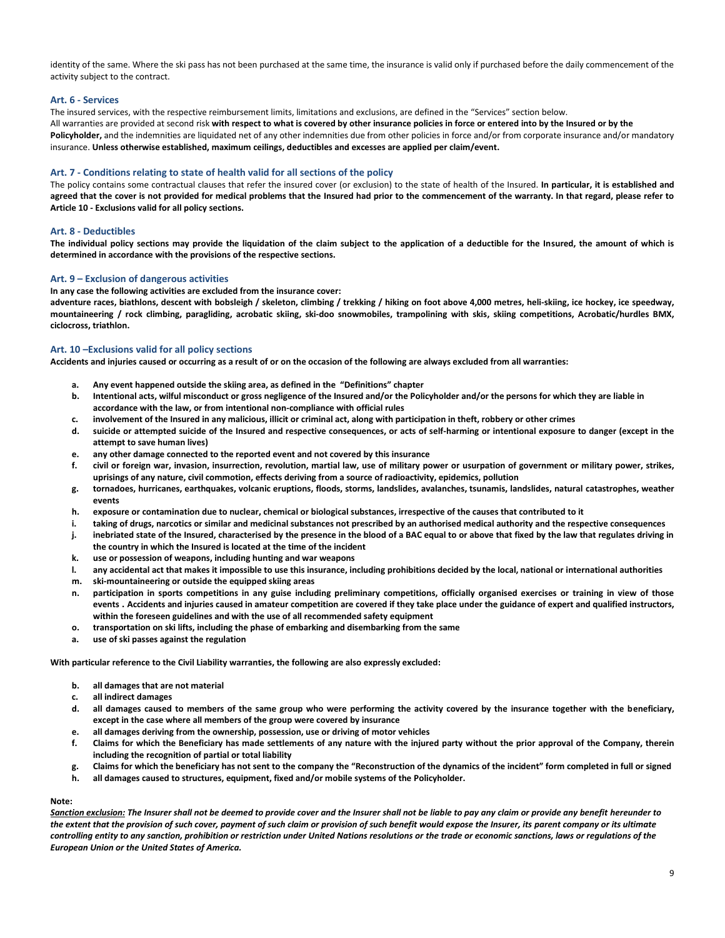identity of the same. Where the ski pass has not been purchased at the same time, the insurance is valid only if purchased before the daily commencement of the activity subject to the contract.

#### **Art. 6 - Services**

The insured services, with the respective reimbursement limits, limitations and exclusions, are defined in the "Services" section below. All warranties are provided at second risk **with respect to what is covered by other insurance policies in force or entered into by the Insured or by the**  Policyholder, and the indemnities are liquidated net of any other indemnities due from other policies in force and/or from corporate insurance and/or mandatory insurance. **Unless otherwise established, maximum ceilings, deductibles and excesses are applied per claim/event.**

#### **Art. 7 - Conditions relating to state of health valid for all sections of the policy**

The policy contains some contractual clauses that refer the insured cover (or exclusion) to the state of health of the Insured. **In particular, it is established and agreed that the cover is not provided for medical problems that the Insured had prior to the commencement of the warranty. In that regard, please refer to Article 10 - Exclusions valid for all policy sections.**

#### **Art. 8 - Deductibles**

**The individual policy sections may provide the liquidation of the claim subject to the application of a deductible for the Insured, the amount of which is determined in accordance with the provisions of the respective sections.**

#### **Art. 9 – Exclusion of dangerous activities**

#### **In any case the following activities are excluded from the insurance cover:**

**adventure races, biathlons, descent with bobsleigh / skeleton, climbing / trekking / hiking on foot above 4,000 metres, heli-skiing, ice hockey, ice speedway, mountaineering / rock climbing, paragliding, acrobatic skiing, ski-doo snowmobiles, trampolining with skis, skiing competitions, Acrobatic/hurdles BMX, ciclocross, triathlon.**

#### **Art. 10 –Exclusions valid for all policy sections**

**Accidents and injuries caused or occurring as a result of or on the occasion of the following are always excluded from all warranties:**

- **a. Any event happened outside the skiing area, as defined in the "Definitions" chapter**
- **b. Intentional acts, wilful misconduct or gross negligence of the Insured and/or the Policyholder and/or the persons for which they are liable in accordance with the law, or from intentional non-compliance with official rules**
- **c. involvement of the Insured in any malicious, illicit or criminal act, along with participation in theft, robbery or other crimes**
- **d. suicide or attempted suicide of the Insured and respective consequences, or acts of self-harming or intentional exposure to danger (except in the attempt to save human lives)**
- **e. any other damage connected to the reported event and not covered by this insurance**
- **f. civil or foreign war, invasion, insurrection, revolution, martial law, use of military power or usurpation of government or military power, strikes, uprisings of any nature, civil commotion, effects deriving from a source of radioactivity, epidemics, pollution**
- **g. tornadoes, hurricanes, earthquakes, volcanic eruptions, floods, storms, landslides, avalanches, tsunamis, landslides, natural catastrophes, weather events**
- **h. exposure or contamination due to nuclear, chemical or biological substances, irrespective of the causes that contributed to it**
- **i. taking of drugs, narcotics or similar and medicinal substances not prescribed by an authorised medical authority and the respective consequences**
- **j. inebriated state of the Insured, characterised by the presence in the blood of a BAC equal to or above that fixed by the law that regulates driving in the country in which the Insured is located at the time of the incident**
- **k. use or possession of weapons, including hunting and war weapons**
- **l. any accidental act that makes it impossible to use this insurance, including prohibitions decided by the local, national or international authorities**
- **m. ski-mountaineering or outside the equipped skiing areas**
- **n. participation in sports competitions in any guise including preliminary competitions, officially organised exercises or training in view of those events . Accidents and injuries caused in amateur competition are covered if they take place under the guidance of expert and qualified instructors, within the foreseen guidelines and with the use of all recommended safety equipment**
- **o. transportation on ski lifts, including the phase of embarking and disembarking from the same**
- **a. use of ski passes against the regulation**

**With particular reference to the Civil Liability warranties, the following are also expressly excluded:**

- **b. all damages that are not material**
- **c. all indirect damages**
- **d. all damages caused to members of the same group who were performing the activity covered by the insurance together with the beneficiary, except in the case where all members of the group were covered by insurance**
- **e. all damages deriving from the ownership, possession, use or driving of motor vehicles**
- **f. Claims for which the Beneficiary has made settlements of any nature with the injured party without the prior approval of the Company, therein including the recognition of partial or total liability**
- **g. Claims for which the beneficiary has not sent to the company the "Reconstruction of the dynamics of the incident" form completed in full or signed**
- **h. all damages caused to structures, equipment, fixed and/or mobile systems of the Policyholder.**

#### **Note:**

*Sanction exclusion: The Insurer shall not be deemed to provide cover and the Insurer shall not be liable to pay any claim or provide any benefit hereunder to the extent that the provision of such cover, payment of such claim or provision of such benefit would expose the Insurer, its parent company or its ultimate controlling entity to any sanction, prohibition or restriction under United Nations resolutions or the trade or economic sanctions, laws or regulations of the European Union or the United States of America.*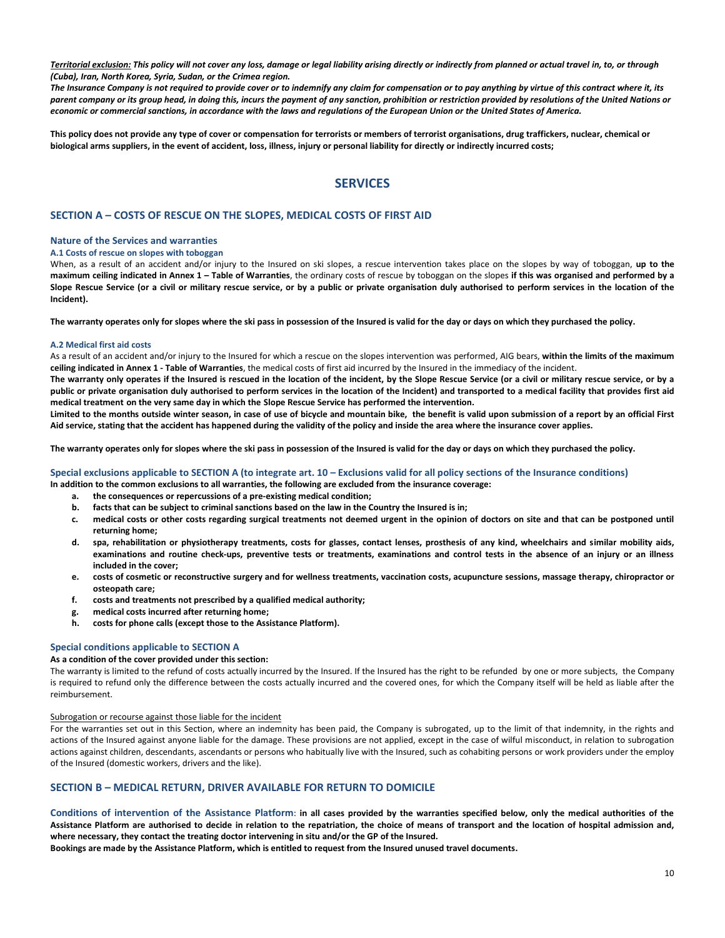*Territorial exclusion: This policy will not cover any loss, damage or legal liability arising directly or indirectly from planned or actual travel in, to, or through (Cuba), Iran, North Korea, Syria, Sudan, or the Crimea region.*

*The Insurance Company is not required to provide cover or to indemnify any claim for compensation or to pay anything by virtue of this contract where it, its parent company or its group head, in doing this, incurs the payment of any sanction, prohibition or restriction provided by resolutions of the United Nations or economic or commercial sanctions, in accordance with the laws and regulations of the European Union or the United States of America.*

**This policy does not provide any type of cover or compensation for terrorists or members of terrorist organisations, drug traffickers, nuclear, chemical or biological arms suppliers, in the event of accident, loss, illness, injury or personal liability for directly or indirectly incurred costs;**

# **SERVICES**

#### **SECTION A – COSTS OF RESCUE ON THE SLOPES, MEDICAL COSTS OF FIRST AID**

#### **Nature of the Services and warranties**

#### **A.1 Costs of rescue on slopes with toboggan**

When, as a result of an accident and/or injury to the Insured on ski slopes, a rescue intervention takes place on the slopes by way of toboggan, **up to the maximum ceiling indicated in Annex 1 – Table of Warranties**, the ordinary costs of rescue by toboggan on the slopes **if this was organised and performed by a Slope Rescue Service (or a civil or military rescue service, or by a public or private organisation duly authorised to perform services in the location of the Incident).**

**The warranty operates only for slopes where the ski pass in possession of the Insured is valid for the day or days on which they purchased the policy.**

#### **A.2 Medical first aid costs**

As a result of an accident and/or injury to the Insured for which a rescue on the slopes intervention was performed, AIG bears, **within the limits of the maximum ceiling indicated in Annex 1 - Table of Warranties**, the medical costs of first aid incurred by the Insured in the immediacy of the incident.

**The warranty only operates if the Insured is rescued in the location of the incident, by the Slope Rescue Service (or a civil or military rescue service, or by a public or private organisation duly authorised to perform services in the location of the Incident) and transported to a medical facility that provides first aid medical treatment on the very same day in which the Slope Rescue Service has performed the intervention.** 

**Limited to the months outside winter season, in case of use of bicycle and mountain bike, the benefit is valid upon submission of a report by an official First Aid service, stating that the accident has happened during the validity of the policy and inside the area where the insurance cover applies.**

**The warranty operates only for slopes where the ski pass in possession of the Insured is valid for the day or days on which they purchased the policy.**

#### **Special exclusions applicable to SECTION A (to integrate art. 10 – Exclusions valid for all policy sections of the Insurance conditions)**

- **In addition to the common exclusions to all warranties, the following are excluded from the insurance coverage:**
	- **a. the consequences or repercussions of a pre‐existing medical condition;**
	- **b. facts that can be subject to criminal sanctions based on the law in the Country the Insured is in;**
	- **c. medical costs or other costs regarding surgical treatments not deemed urgent in the opinion of doctors on site and that can be postponed until returning home;**
	- **d. spa, rehabilitation or physiotherapy treatments, costs for glasses, contact lenses, prosthesis of any kind, wheelchairs and similar mobility aids, examinations and routine check‐ups, preventive tests or treatments, examinations and control tests in the absence of an injury or an illness included in the cover;**
	- **e. costs of cosmetic or reconstructive surgery and for wellness treatments, vaccination costs, acupuncture sessions, massage therapy, chiropractor or osteopath care;**
	- **f. costs and treatments not prescribed by a qualified medical authority;**
	- **g. medical costs incurred after returning home;**
	- **h. costs for phone calls (except those to the Assistance Platform).**

#### **Special conditions applicable to SECTION A**

#### **As a condition of the cover provided under this section:**

The warranty is limited to the refund of costs actually incurred by the Insured. If the Insured has the right to be refunded by one or more subjects, the Company is required to refund only the difference between the costs actually incurred and the covered ones, for which the Company itself will be held as liable after the reimbursement.

#### Subrogation or recourse against those liable for the incident

For the warranties set out in this Section, where an indemnity has been paid, the Company is subrogated, up to the limit of that indemnity, in the rights and actions of the Insured against anyone liable for the damage. These provisions are not applied, except in the case of wilful misconduct, in relation to subrogation actions against children, descendants, ascendants or persons who habitually live with the Insured, such as cohabiting persons or work providers under the employ of the Insured (domestic workers, drivers and the like).

#### **SECTION B – MEDICAL RETURN, DRIVER AVAILABLE FOR RETURN TO DOMICILE**

**Conditions of intervention of the Assistance Platform**: **in all cases provided by the warranties specified below, only the medical authorities of the Assistance Platform are authorised to decide in relation to the repatriation, the choice of means of transport and the location of hospital admission and, where necessary, they contact the treating doctor intervening in situ and/or the GP of the Insured.**

**Bookings are made by the Assistance Platform, which is entitled to request from the Insured unused travel documents.**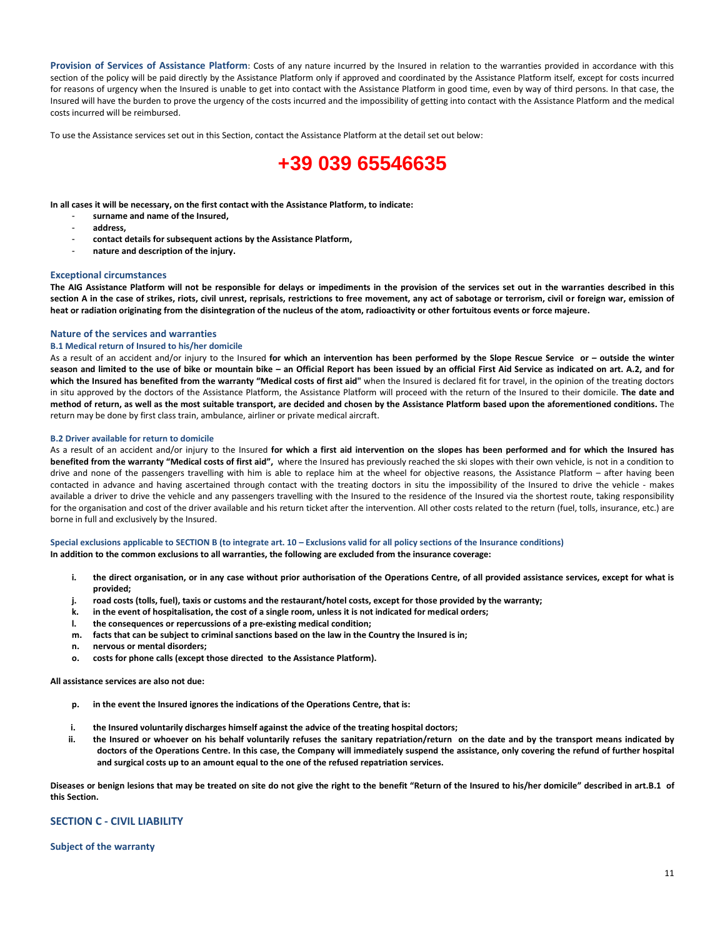**Provision of Services of Assistance Platform**: Costs of any nature incurred by the Insured in relation to the warranties provided in accordance with this section of the policy will be paid directly by the Assistance Platform only if approved and coordinated by the Assistance Platform itself, except for costs incurred for reasons of urgency when the Insured is unable to get into contact with the Assistance Platform in good time, even by way of third persons. In that case, the Insured will have the burden to prove the urgency of the costs incurred and the impossibility of getting into contact with the Assistance Platform and the medical costs incurred will be reimbursed.

To use the Assistance services set out in this Section, contact the Assistance Platform at the detail set out below:

# **+39 039 65546635**

**In all cases it will be necessary, on the first contact with the Assistance Platform, to indicate:** 

- **surname and name of the Insured,**
- **address,**
- **contact details for subsequent actions by the Assistance Platform,**
- **nature and description of the injury.**

#### **Exceptional circumstances**

**The AIG Assistance Platform will not be responsible for delays or impediments in the provision of the services set out in the warranties described in this section A in the case of strikes, riots, civil unrest, reprisals, restrictions to free movement, any act of sabotage or terrorism, civil or foreign war, emission of heat or radiation originating from the disintegration of the nucleus of the atom, radioactivity or other fortuitous events or force majeure.**

#### **Nature of the services and warranties**

#### **B.1 Medical return of Insured to his/her domicile**

As a result of an accident and/or injury to the Insured **for which an intervention has been performed by the Slope Rescue Service or – outside the winter season and limited to the use of bike or mountain bike – an Official Report has been issued by an official First Aid Service as indicated on art. A.2, and for which the Insured has benefited from the warranty "Medical costs of first aid"** when the Insured is declared fit for travel, in the opinion of the treating doctors in situ approved by the doctors of the Assistance Platform, the Assistance Platform will proceed with the return of the Insured to their domicile. **The date and method of return, as well as the most suitable transport, are decided and chosen by the Assistance Platform based upon the aforementioned conditions.** The return may be done by first class train, ambulance, airliner or private medical aircraft.

#### **B.2 Driver available for return to domicile**

As a result of an accident and/or injury to the Insured **for which a first aid intervention on the slopes has been performed and for which the Insured has benefited from the warranty "Medical costs of first aid",** where the Insured has previously reached the ski slopes with their own vehicle, is not in a condition to drive and none of the passengers travelling with him is able to replace him at the wheel for objective reasons, the Assistance Platform – after having been contacted in advance and having ascertained through contact with the treating doctors in situ the impossibility of the Insured to drive the vehicle - makes available a driver to drive the vehicle and any passengers travelling with the Insured to the residence of the Insured via the shortest route, taking responsibility for the organisation and cost of the driver available and his return ticket after the intervention. All other costs related to the return (fuel, tolls, insurance, etc.) are borne in full and exclusively by the Insured.

#### **Special exclusions applicable to SECTION B (to integrate art. 10 – Exclusions valid for all policy sections of the Insurance conditions)**

**In addition to the common exclusions to all warranties, the following are excluded from the insurance coverage:**

- **i. the direct organisation, or in any case without prior authorisation of the Operations Centre, of all provided assistance services, except for what is provided;**
- **j. road costs (tolls, fuel), taxis or customs and the restaurant/hotel costs, except for those provided by the warranty;**
- **k. in the event of hospitalisation, the cost of a single room, unless it is not indicated for medical orders;**
- **l. the consequences or repercussions of a pre‐existing medical condition;**
- **m. facts that can be subject to criminal sanctions based on the law in the Country the Insured is in;**
- **n. nervous or mental disorders;**
- **o. costs for phone calls (except those directed to the Assistance Platform).**

#### **All assistance services are also not due:**

- **p. in the event the Insured ignores the indications of the Operations Centre, that is:**
- **i. the Insured voluntarily discharges himself against the advice of the treating hospital doctors;**
- **ii. the Insured or whoever on his behalf voluntarily refuses the sanitary repatriation/return on the date and by the transport means indicated by doctors of the Operations Centre. In this case, the Company will immediately suspend the assistance, only covering the refund of further hospital and surgical costs up to an amount equal to the one of the refused repatriation services.**

**Diseases or benign lesions that may be treated on site do not give the right to the benefit "Return of the Insured to his/her domicile" described in art.B.1 of this Section.**

#### **SECTION C - CIVIL LIABILITY**

#### **Subject of the warranty**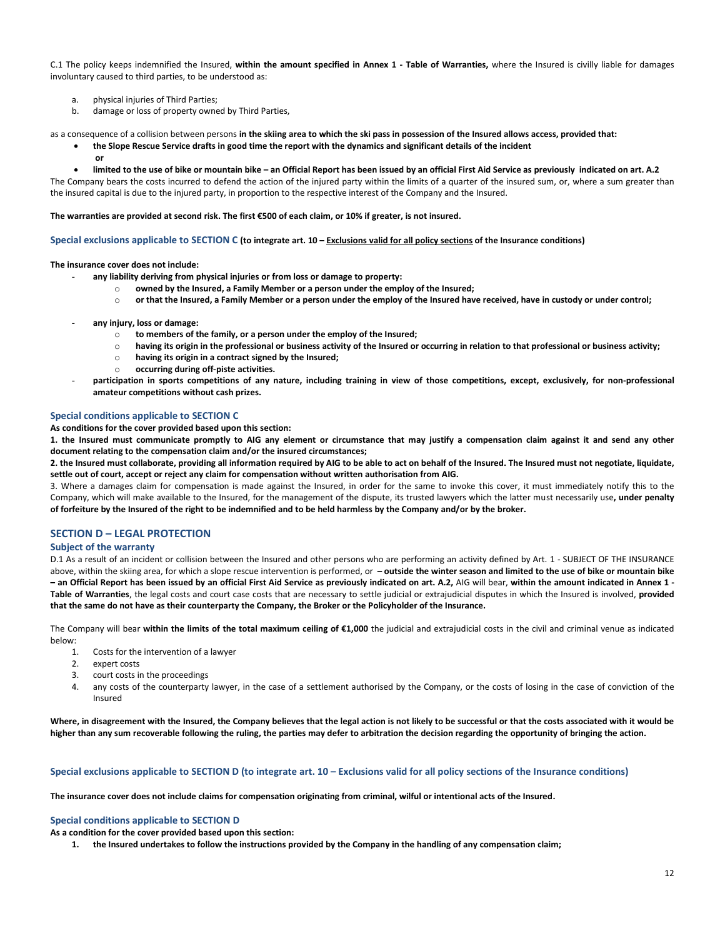C.1 The policy keeps indemnified the Insured, **within the amount specified in Annex 1 - Table of Warranties,** where the Insured is civilly liable for damages involuntary caused to third parties, to be understood as:

- a. physical injuries of Third Parties;
- b. damage or loss of property owned by Third Parties,

as a consequence of a collision between persons **in the skiing area to which the ski pass in possession of the Insured allows access, provided that:**

- **the Slope Rescue Service drafts in good time the report with the dynamics and significant details of the incident**
	- **or**
	- **limited to the use of bike or mountain bike – an Official Report has been issued by an official First Aid Service as previously indicated on art. A.2**

The Company bears the costs incurred to defend the action of the injured party within the limits of a quarter of the insured sum, or, where a sum greater than the insured capital is due to the injured party, in proportion to the respective interest of the Company and the Insured.

**The warranties are provided at second risk. The first €500 of each claim, or 10% if greater, is not insured.**

**Special exclusions applicable to SECTION C (to integrate art. 10 – Exclusions valid for all policy sections of the Insurance conditions)**

**The insurance cover does not include:**

- **any liability deriving from physical injuries or from loss or damage to property:**
	- o **owned by the Insured, a Family Member or a person under the employ of the Insured;**
	- o **or that the Insured, a Family Member or a person under the employ of the Insured have received, have in custody or under control;**
- **any injury, loss or damage:**
	- o **to members of the family, or a person under the employ of the Insured;**
	- o **having its origin in the professional or business activity of the Insured or occurring in relation to that professional or business activity;**
	- o **having its origin in a contract signed by the Insured;**
	- o **occurring during off-piste activities.**
- participation in sports competitions of any nature, including training in view of those competitions, except, exclusively, for non-professional **amateur competitions without cash prizes.**

#### **Special conditions applicable to SECTION C**

**As conditions for the cover provided based upon this section:**

**1. the Insured must communicate promptly to AIG any element or circumstance that may justify a compensation claim against it and send any other document relating to the compensation claim and/or the insured circumstances;**

**2. the Insured must collaborate, providing all information required by AIG to be able to act on behalf of the Insured. The Insured must not negotiate, liquidate, settle out of court, accept or reject any claim for compensation without written authorisation from AIG.**

3. Where a damages claim for compensation is made against the Insured, in order for the same to invoke this cover, it must immediately notify this to the Company, which will make available to the Insured, for the management of the dispute, its trusted lawyers which the latter must necessarily use**, under penalty of forfeiture by the Insured of the right to be indemnified and to be held harmless by the Company and/or by the broker.**

### **SECTION D – LEGAL PROTECTION**

#### **Subject of the warranty**

D.1 As a result of an incident or collision between the Insured and other persons who are performing an activity defined by Art. 1 - SUBJECT OF THE INSURANCE above, within the skiing area, for which a slope rescue intervention is performed, or **– outside the winter season and limited to the use of bike or mountain bike – an Official Report has been issued by an official First Aid Service as previously indicated on art. A.2,** AIG will bear, **within the amount indicated in Annex 1 - Table of Warranties**, the legal costs and court case costs that are necessary to settle judicial or extrajudicial disputes in which the Insured is involved, **provided that the same do not have as their counterparty the Company, the Broker or the Policyholder of the Insurance.**

The Company will bear **within the limits of the total maximum ceiling of €1,000** the judicial and extrajudicial costs in the civil and criminal venue as indicated below:

- 1. Costs for the intervention of a lawyer
- 2. expert costs
- 3. court costs in the proceedings
- 4. any costs of the counterparty lawyer, in the case of a settlement authorised by the Company, or the costs of losing in the case of conviction of the Insured

**Where, in disagreement with the Insured, the Company believes that the legal action is not likely to be successful or that the costs associated with it would be higher than any sum recoverable following the ruling, the parties may defer to arbitration the decision regarding the opportunity of bringing the action.**

#### **Special exclusions applicable to SECTION D (to integrate art. 10 – Exclusions valid for all policy sections of the Insurance conditions)**

**The insurance cover does not include claims for compensation originating from criminal, wilful or intentional acts of the Insured.**

#### **Special conditions applicable to SECTION D**

**As a condition for the cover provided based upon this section:**

**1. the Insured undertakes to follow the instructions provided by the Company in the handling of any compensation claim;**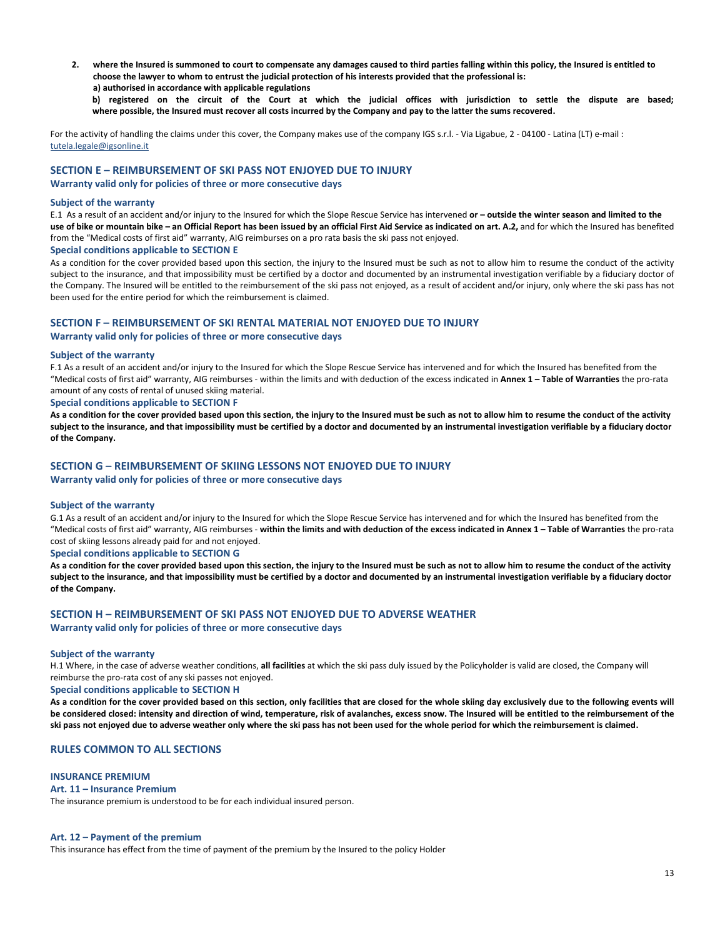**2. where the Insured is summoned to court to compensate any damages caused to third parties falling within this policy, the Insured is entitled to choose the lawyer to whom to entrust the judicial protection of his interests provided that the professional is:**

**a) authorised in accordance with applicable regulations**

**b) registered on the circuit of the Court at which the judicial offices with jurisdiction to settle the dispute are based; where possible, the Insured must recover all costs incurred by the Company and pay to the latter the sums recovered.**

For the activity of handling the claims under this cover, the Company makes use of the company IGS s.r.l. - Via Ligabue, 2 - 04100 - Latina (LT) e-mail : [tutela.legale@igsonline.it](mailto:tutela.legale@igsonline.it)

#### **SECTION E – REIMBURSEMENT OF SKI PASS NOT ENJOYED DUE TO INJURY**

**Warranty valid only for policies of three or more consecutive days**

#### **Subject of the warranty**

E.1 As a result of an accident and/or injury to the Insured for which the Slope Rescue Service has intervened **or – outside the winter season and limited to the use of bike or mountain bike – an Official Report has been issued by an official First Aid Service as indicated on art. A.2,** and for which the Insured has benefited from the "Medical costs of first aid" warranty, AIG reimburses on a pro rata basis the ski pass not enjoyed.

#### **Special conditions applicable to SECTION E**

As a condition for the cover provided based upon this section, the injury to the Insured must be such as not to allow him to resume the conduct of the activity subject to the insurance, and that impossibility must be certified by a doctor and documented by an instrumental investigation verifiable by a fiduciary doctor of the Company. The Insured will be entitled to the reimbursement of the ski pass not enjoyed, as a result of accident and/or injury, only where the ski pass has not been used for the entire period for which the reimbursement is claimed.

#### **SECTION F – REIMBURSEMENT OF SKI RENTAL MATERIAL NOT ENJOYED DUE TO INJURY**

#### **Warranty valid only for policies of three or more consecutive days**

#### **Subject of the warranty**

F.1 As a result of an accident and/or injury to the Insured for which the Slope Rescue Service has intervened and for which the Insured has benefited from the "Medical costs of first aid" warranty, AIG reimburses - within the limits and with deduction of the excess indicated in **Annex 1 – Table of Warranties** the pro-rata amount of any costs of rental of unused skiing material.

#### **Special conditions applicable to SECTION F**

**As a condition for the cover provided based upon this section, the injury to the Insured must be such as not to allow him to resume the conduct of the activity subject to the insurance, and that impossibility must be certified by a doctor and documented by an instrumental investigation verifiable by a fiduciary doctor of the Company.**

#### **SECTION G – REIMBURSEMENT OF SKIING LESSONS NOT ENJOYED DUE TO INJURY**

**Warranty valid only for policies of three or more consecutive days**

#### **Subject of the warranty**

G.1 As a result of an accident and/or injury to the Insured for which the Slope Rescue Service has intervened and for which the Insured has benefited from the "Medical costs of first aid" warranty, AIG reimburses - **within the limits and with deduction of the excess indicated in Annex 1 – Table of Warranties** the pro-rata cost of skiing lessons already paid for and not enjoyed.

#### **Special conditions applicable to SECTION G**

**As a condition for the cover provided based upon this section, the injury to the Insured must be such as not to allow him to resume the conduct of the activity subject to the insurance, and that impossibility must be certified by a doctor and documented by an instrumental investigation verifiable by a fiduciary doctor of the Company.**

#### **SECTION H – REIMBURSEMENT OF SKI PASS NOT ENJOYED DUE TO ADVERSE WEATHER Warranty valid only for policies of three or more consecutive days**

### **Subject of the warranty**

H.1 Where, in the case of adverse weather conditions, **all facilities** at which the ski pass duly issued by the Policyholder is valid are closed, the Company will reimburse the pro-rata cost of any ski passes not enjoyed.

#### **Special conditions applicable to SECTION H**

**As a condition for the cover provided based on this section, only facilities that are closed for the whole skiing day exclusively due to the following events will be considered closed: intensity and direction of wind, temperature, risk of avalanches, excess snow. The Insured will be entitled to the reimbursement of the ski pass not enjoyed due to adverse weather only where the ski pass has not been used for the whole period for which the reimbursement is claimed.**

### **RULES COMMON TO ALL SECTIONS**

#### **INSURANCE PREMIUM**

#### **Art. 11 – Insurance Premium**

The insurance premium is understood to be for each individual insured person.

#### **Art. 12 – Payment of the premium**

This insurance has effect from the time of payment of the premium by the Insured to the policy Holder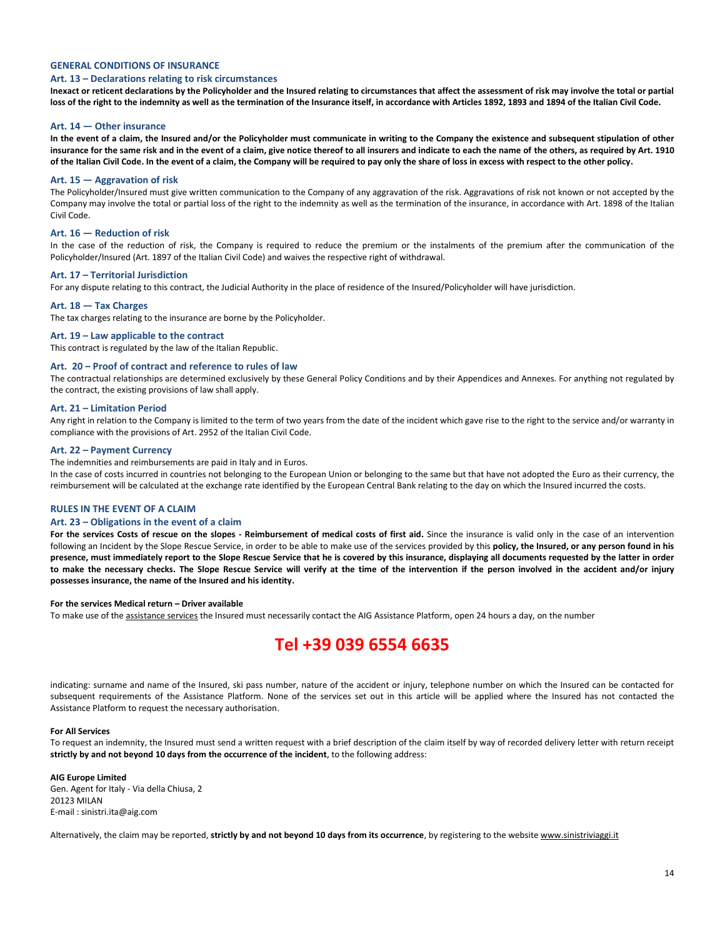#### **GENERAL CONDITIONS OF INSURANCE**

#### **Art. 13 – Declarations relating to risk circumstances**

**Inexact or reticent declarations by the Policyholder and the Insured relating to circumstances that affect the assessment of risk may involve the total or partial loss of the right to the indemnity as well as the termination of the Insurance itself, in accordance with Articles 1892, 1893 and 1894 of the Italian Civil Code.**

#### **Art. 14 — Other insurance**

**In the event of a claim, the Insured and/or the Policyholder must communicate in writing to the Company the existence and subsequent stipulation of other insurance for the same risk and in the event of a claim, give notice thereof to all insurers and indicate to each the name of the others, as required by Art. 1910 of the Italian Civil Code. In the event of a claim, the Company will be required to pay only the share of loss in excess with respect to the other policy.** 

#### **Art. 15 — Aggravation of risk**

The Policyholder/Insured must give written communication to the Company of any aggravation of the risk. Aggravations of risk not known or not accepted by the Company may involve the total or partial loss of the right to the indemnity as well as the termination of the insurance, in accordance with Art. 1898 of the Italian Civil Code.

#### **Art. 16 — Reduction of risk**

In the case of the reduction of risk, the Company is required to reduce the premium or the instalments of the premium after the communication of the Policyholder/Insured (Art. 1897 of the Italian Civil Code) and waives the respective right of withdrawal.

#### **Art. 17 – Territorial Jurisdiction**

For any dispute relating to this contract, the Judicial Authority in the place of residence of the Insured/Policyholder will have jurisdiction.

#### **Art. 18 — Tax Charges**

The tax charges relating to the insurance are borne by the Policyholder.

#### **Art. 19 – Law applicable to the contract**

This contract is regulated by the law of the Italian Republic.

#### **Art. 20 – Proof of contract and reference to rules of law**

The contractual relationships are determined exclusively by these General Policy Conditions and by their Appendices and Annexes. For anything not regulated by the contract, the existing provisions of law shall apply.

#### **Art. 21 – Limitation Period**

Any right in relation to the Company is limited to the term of two years from the date of the incident which gave rise to the right to the service and/or warranty in compliance with the provisions of Art. 2952 of the Italian Civil Code.

#### **Art. 22 – Payment Currency**

The indemnities and reimbursements are paid in Italy and in Euros.

In the case of costs incurred in countries not belonging to the European Union or belonging to the same but that have not adopted the Euro as their currency, the reimbursement will be calculated at the exchange rate identified by the European Central Bank relating to the day on which the Insured incurred the costs.

#### **RULES IN THE EVENT OF A CLAIM**

#### **Art. 23 – Obligations in the event of a claim**

**For the services Costs of rescue on the slopes - Reimbursement of medical costs of first aid.** Since the insurance is valid only in the case of an intervention following an Incident by the Slope Rescue Service, in order to be able to make use of the services provided by this policy, the Insured, or any person found in his **presence, must immediately report to the Slope Rescue Service that he is covered by this insurance, displaying all documents requested by the latter in order to make the necessary checks. The Slope Rescue Service will verify at the time of the intervention if the person involved in the accident and/or injury possesses insurance, the name of the Insured and his identity.** 

#### **For the services Medical return – Driver available**

To make use of the assistance services the Insured must necessarily contact the AIG Assistance Platform, open 24 hours a day, on the number

# **Tel +39 039 6554 6635**

indicating: surname and name of the Insured, ski pass number, nature of the accident or injury, telephone number on which the Insured can be contacted for subsequent requirements of the Assistance Platform. None of the services set out in this article will be applied where the Insured has not contacted the Assistance Platform to request the necessary authorisation.

#### **For All Services**

To request an indemnity, the Insured must send a written request with a brief description of the claim itself by way of recorded delivery letter with return receipt **strictly by and not beyond 10 days from the occurrence of the incident**, to the following address:

#### **AIG Europe Limited**

Gen. Agent for Italy - Via della Chiusa, 2 20123 MILAN E-mail : sinistri.ita@aig.com

Alternatively, the claim may be reported, **strictly by and not beyond 10 days from its occurrence**, by registering to the website [www.sinistriviaggi.it](http://www.sinistriviaggi.it/)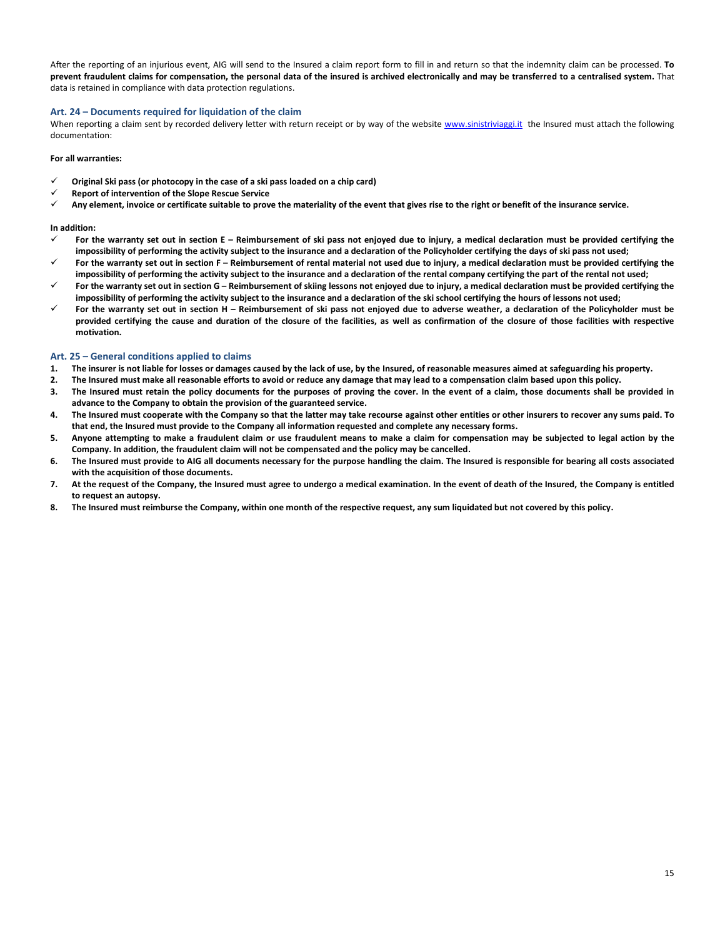After the reporting of an injurious event, AIG will send to the Insured a claim report form to fill in and return so that the indemnity claim can be processed. **To prevent fraudulent claims for compensation, the personal data of the insured is archived electronically and may be transferred to a centralised system.** That data is retained in compliance with data protection regulations.

#### **Art. 24 – Documents required for liquidation of the claim**

When reporting a claim sent by recorded delivery letter with return receipt or by way of the website [www.sinistriviaggi.it](http://www.sinistriviaggi.it/) the Insured must attach the following documentation:

#### **For all warranties:**

- **Original Ski pass (or photocopy in the case of a ski pass loaded on a chip card)**
- **Report of intervention of the Slope Rescue Service**
- **Any element, invoice or certificate suitable to prove the materiality of the event that gives rise to the right or benefit of the insurance service.**

#### **In addition:**

- **For the warranty set out in section E – Reimbursement of ski pass not enjoyed due to injury, a medical declaration must be provided certifying the impossibility of performing the activity subject to the insurance and a declaration of the Policyholder certifying the days of ski pass not used;**
- For the warranty set out in section F Reimbursement of rental material not used due to injury, a medical declaration must be provided certifying the **impossibility of performing the activity subject to the insurance and a declaration of the rental company certifying the part of the rental not used;**
- **For the warranty set out in section G – Reimbursement of skiing lessons not enjoyed due to injury, a medical declaration must be provided certifying the impossibility of performing the activity subject to the insurance and a declaration of the ski school certifying the hours of lessons not used;**
- **For the warranty set out in section H – Reimbursement of ski pass not enjoyed due to adverse weather, a declaration of the Policyholder must be provided certifying the cause and duration of the closure of the facilities, as well as confirmation of the closure of those facilities with respective motivation.**

#### **Art. 25 – General conditions applied to claims**

- **1. The insurer is not liable for losses or damages caused by the lack of use, by the Insured, of reasonable measures aimed at safeguarding his property.**
- **2. The Insured must make all reasonable efforts to avoid or reduce any damage that may lead to a compensation claim based upon this policy.**
- **3. The Insured must retain the policy documents for the purposes of proving the cover. In the event of a claim, those documents shall be provided in advance to the Company to obtain the provision of the guaranteed service.**
- 4. The Insured must cooperate with the Company so that the latter may take recourse against other entities or other insurers to recover any sums paid. To **that end, the Insured must provide to the Company all information requested and complete any necessary forms.**
- **5. Anyone attempting to make a fraudulent claim or use fraudulent means to make a claim for compensation may be subjected to legal action by the Company. In addition, the fraudulent claim will not be compensated and the policy may be cancelled.**
- **6. The Insured must provide to AIG all documents necessary for the purpose handling the claim. The Insured is responsible for bearing all costs associated with the acquisition of those documents.**
- **7. At the request of the Company, the Insured must agree to undergo a medical examination. In the event of death of the Insured, the Company is entitled to request an autopsy.**
- **8. The Insured must reimburse the Company, within one month of the respective request, any sum liquidated but not covered by this policy.**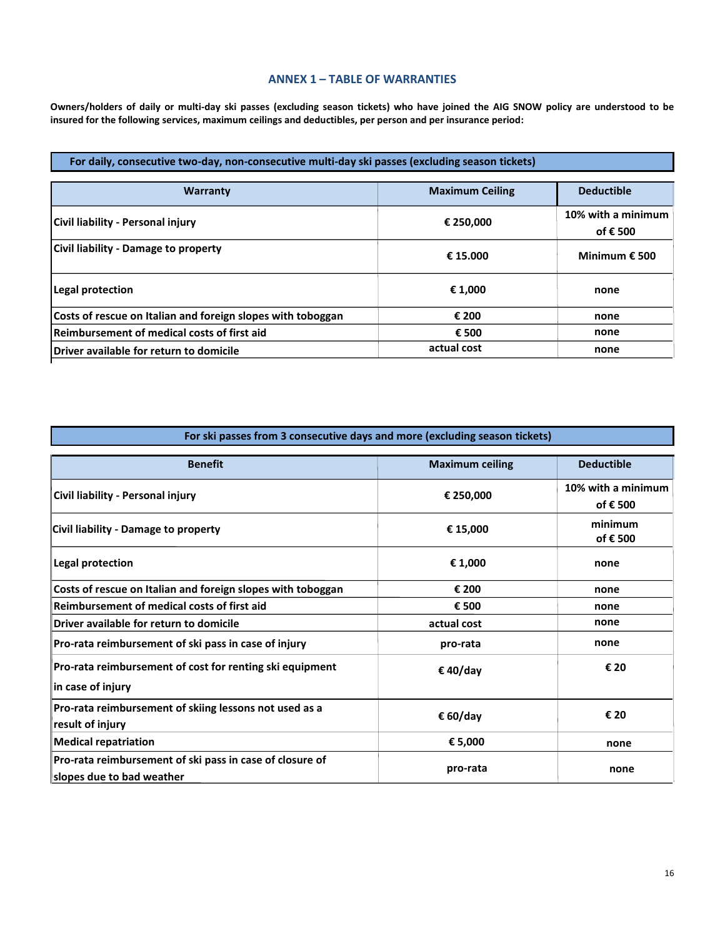# **ANNEX 1 – TABLE OF WARRANTIES**

**Owners/holders of daily or multi-day ski passes (excluding season tickets) who have joined the AIG SNOW policy are understood to be insured for the following services, maximum ceilings and deductibles, per person and per insurance period:**

# **For daily, consecutive two-day, non-consecutive multi-day ski passes (excluding season tickets)**

| <b>Warranty</b>                                             | <b>Maximum Ceiling</b> | <b>Deductible</b>              |
|-------------------------------------------------------------|------------------------|--------------------------------|
| Civil liability - Personal injury                           | € 250,000              | 10% with a minimum<br>of € 500 |
| Civil liability - Damage to property                        | € 15.000               | Minimum $\epsilon$ 500         |
| Legal protection                                            | € 1,000                | none                           |
| Costs of rescue on Italian and foreign slopes with toboggan | € 200                  | none                           |
| Reimbursement of medical costs of first aid                 | € 500                  | none                           |
| Driver available for return to domicile                     | actual cost            | none                           |

| For ski passes from 3 consecutive days and more (excluding season tickets)            |                        |                                |  |  |
|---------------------------------------------------------------------------------------|------------------------|--------------------------------|--|--|
| <b>Benefit</b>                                                                        | <b>Maximum ceiling</b> | <b>Deductible</b>              |  |  |
| Civil liability - Personal injury                                                     | € 250,000              | 10% with a minimum<br>of € 500 |  |  |
| Civil liability - Damage to property                                                  | € 15,000               | minimum<br>of € 500            |  |  |
| Legal protection                                                                      | € 1,000                | none                           |  |  |
| Costs of rescue on Italian and foreign slopes with toboggan                           | € 200                  | none                           |  |  |
| Reimbursement of medical costs of first aid                                           | € 500                  | none                           |  |  |
| Driver available for return to domicile                                               | actual cost            | none                           |  |  |
| Pro-rata reimbursement of ski pass in case of injury                                  | pro-rata               | none                           |  |  |
| Pro-rata reimbursement of cost for renting ski equipment<br>$\ $ in case of injury    | € 40/day               | € 20                           |  |  |
| Pro-rata reimbursement of skiing lessons not used as a<br>result of injury            | € 60/day               | € 20                           |  |  |
| <b>Medical repatriation</b>                                                           | € 5,000                | none                           |  |  |
| Pro-rata reimbursement of ski pass in case of closure of<br>slopes due to bad weather | pro-rata               | none                           |  |  |